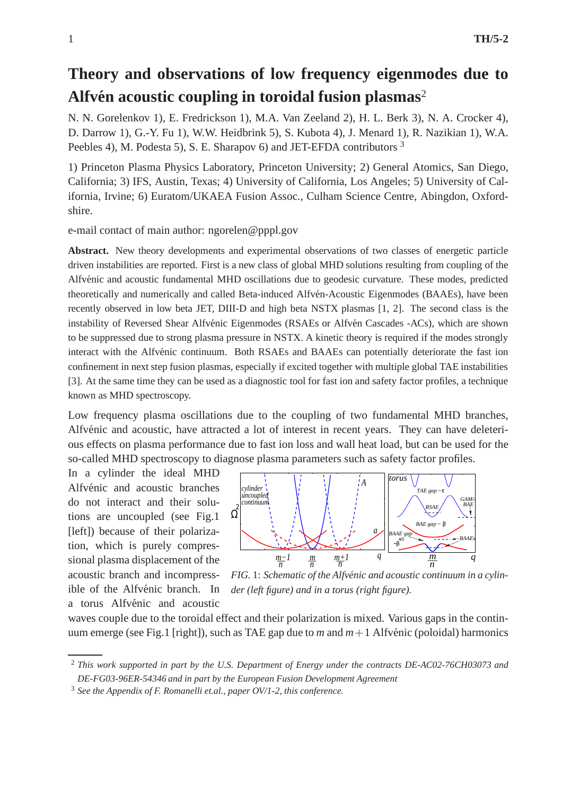## **Theory and observations of low frequency eigenmodes due to** Alfvén acoustic coupling in toroidal fusion plasmas<sup>2</sup>

N. N. Gorelenkov 1), E. Fredrickson 1), M.A. Van Zeeland 2), H. L. Berk 3), N. A. Crocker 4), D. Darrow 1), G.-Y. Fu 1), W.W. Heidbrink 5), S. Kubota 4), J. Menard 1), R. Nazikian 1), W.A. Peebles 4), M. Podesta 5), S. E. Sharapov 6) and JET-EFDA contributors <sup>3</sup>

1) Princeton Plasma Physics Laboratory, Princeton University; 2) General Atomics, San Diego, California; 3) IFS, Austin, Texas; 4) University of California, Los Angeles; 5) University of California, Irvine; 6) Euratom/UKAEA Fusion Assoc., Culham Science Centre, Abingdon, Oxfordshire.

e-mail contact of main author: ngorelen@pppl.gov

**Abstract.** New theory developments and experimental observations of two classes of energetic particle driven instabilities are reported. First is a new class of global MHD solutions resulting from coupling of the Alfvénic and acoustic fundamental MHD oscillations due to geodesic curvature. These modes, predicted theoretically and numerically and called Beta-induced Alfvén-Acoustic Eigenmodes (BAAEs), have been recently observed in low beta JET, DIII-D and high beta NSTX plasmas [1, 2]. The second class is the instability of Reversed Shear Alfvénic Eigenmodes (RSAEs or Alfvén Cascades -ACs), which are shown to be suppressed due to strong plasma pressure in NSTX. A kinetic theory is required if the modes strongly interact with the Alfvénic continuum. Both RSAEs and BAAEs can potentially deteriorate the fast ion confinement in next step fusion plasmas, especially if excited together with multiple global TAE instabilities [3]. At the same time they can be used as a diagnostic tool for fast ion and safety factor profiles, a technique known as MHD spectroscopy.

Low frequency plasma oscillations due to the coupling of two fundamental MHD branches, Alfvénic and acoustic, have attracted a lot of interest in recent years. They can have deleterious effects on plasma performance due to fast ion loss and wall heat load, but can be used for the so-called MHD spectroscopy to diagnose plasma parameters such as safety factor profiles.

In a cylinder the ideal MHD Alfvénic and acoustic branches do not interact and their solutions are uncoupled (see Fig.1 [left]) because of their polarization, which is purely compressional plasma displacement of the acoustic branch and incompressible of the Alfvénic branch. In a torus Alfvénic and acoustic



*FIG.* 1: *Schematic of the Alfvénic and acoustic continuum in a cylinder (left figure) and in a torus (right figure).*

waves couple due to the toroidal effect and their polarization is mixed. Various gaps in the continuum emerge (see Fig.1 [right]), such as TAE gap due to *m* and  $m+1$  Alfvénic (poloidal) harmonics

<sup>2</sup> *This work supported in part by the U.S. Department of Energy under the contracts DE-AC02-76CH03073 and DE-FG03-96ER-54346 and in part by the European Fusion Development Agreement*

<sup>3</sup> *See the Appendix of F. Romanelli et.al., paper OV/1-2, this conference.*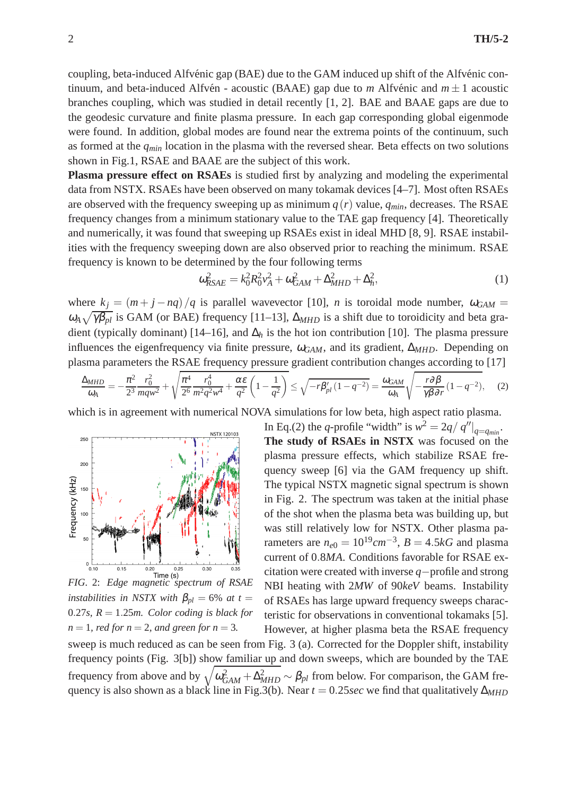coupling, beta-induced Alfvénic gap (BAE) due to the GAM induced up shift of the Alfvénic continuum, and beta-induced Alfvén - acoustic (BAAE) gap due to *m* Alfvénic and  $m \pm 1$  acoustic branches coupling, which was studied in detail recently [1, 2]. BAE and BAAE gaps are due to the geodesic curvature and finite plasma pressure. In each gap corresponding global eigenmode were found. In addition, global modes are found near the extrema points of the continuum, such as formed at the *qmin* location in the plasma with the reversed shear. Beta effects on two solutions shown in Fig.1, RSAE and BAAE are the subject of this work.

**Plasma pressure effect on RSAEs** is studied first by analyzing and modeling the experimental data from NSTX. RSAEs have been observed on many tokamak devices [4–7]. Most often RSAEs are observed with the frequency sweeping up as minimum  $q(r)$  value,  $q_{min}$ , decreases. The RSAE frequency changes from a minimum stationary value to the TAE gap frequency [4]. Theoretically and numerically, it was found that sweeping up RSAEs exist in ideal MHD [8, 9]. RSAE instabilities with the frequency sweeping down are also observed prior to reaching the minimum. RSAE frequency is known to be determined by the four following terms

$$
\omega_{RSAE}^2 = k_0^2 R_0^2 v_A^2 + \omega_{GAM}^2 + \Delta_{MHD}^2 + \Delta_h^2,\tag{1}
$$

where  $k_j = (m + j - nq)/q$  is parallel wavevector [10], *n* is toroidal mode number,  $\omega_{GAM} =$  $\omega_A \sqrt{\gamma \beta_{pl}}$  is GAM (or BAE) frequency [11–13],  $\Delta_{MHD}$  is a shift due to toroidicity and beta gradient (typically dominant) [14–16], and  $\Delta_h$  is the hot ion contribution [10]. The plasma pressure influences the eigenfrequency via finite pressure, <sup>ω</sup>*GAM*, and its gradient, ∆*MHD*. Depending on plasma parameters the RSAE frequency pressure gradient contribution changes according to [17]

$$
\frac{\Delta_{MHD}}{\omega_{A}} = -\frac{\pi^{2}}{2^{3}} \frac{r_{0}^{2}}{mqw^{2}} + \sqrt{\frac{\pi^{4}}{2^{6}} \frac{r_{0}^{4}}{m^{2}q^{2}w^{4}} + \frac{\alpha \varepsilon}{q^{2}} \left(1 - \frac{1}{q^{2}}\right)} \le \sqrt{-r\beta_{pl}'(1 - q^{-2})} = \frac{\omega_{GAM}}{\omega_{A}} \sqrt{-\frac{r\partial\beta}{\gamma\beta\partial r}(1 - q^{-2})},\tag{2}
$$

which is in agreement with numerical NOVA simulations for low beta, high aspect ratio plasma.



*instabilities in NSTX with*  $\beta_{pl} = 6\%$  *at t* = 0.27*s, R* = 1.25*m. Color coding is black for*  $n = 1$ *, red for n* = 2*, and green for n* = 3*.* 

In Eq.(2) the *q*-profile "width" is  $w^2 = 2q / q''|_{q=q_{min}}$ . **The study of RSAEs in NSTX** was focused on the plasma pressure effects, which stabilize RSAE frequency sweep [6] via the GAM frequency up shift. The typical NSTX magnetic signal spectrum is shown in Fig. 2. The spectrum was taken at the initial phase of the shot when the plasma beta was building up, but was still relatively low for NSTX. Other plasma parameters are  $n_{e0} = 10^{19}$  cm<sup>-3</sup>,  $B = 4.5$  kG and plasma current of 0.8*MA*. Conditions favorable for RSAE excitation were created with inverse *q*−profile and strong NBI heating with 2*MW* of 90*keV* beams. Instability of RSAEs has large upward frequency sweeps characteristic for observations in conventional tokamaks [5]. However, at higher plasma beta the RSAE frequency

sweep is much reduced as can be seen from Fig. 3 (a). Corrected for the Doppler shift, instability frequency points (Fig. 3[b]) show familiar up and down sweeps, which are bounded by the TAE frequency from above and by  $\sqrt{\omega_{GAM}^2 + \Delta_{MHD}^2} \sim \beta_{pl}$  from below. For comparison, the GAM frequency is also shown as a black line in Fig.3(b). Near *t* = 0.25*sec* we find that qualitatively ∆*MHD*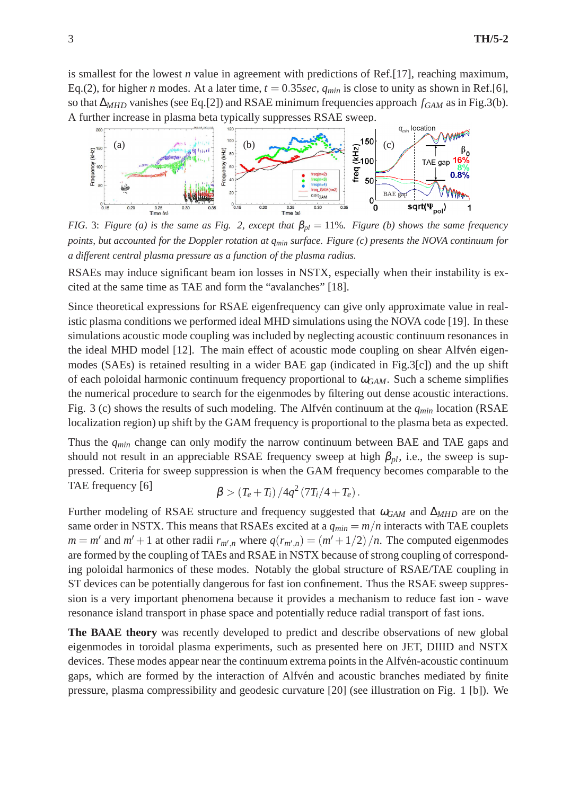is smallest for the lowest *n* value in agreement with predictions of Ref.[17], reaching maximum, Eq.(2), for higher *n* modes. At a later time,  $t = 0.35$ *sec*,  $q_{min}$  is close to unity as shown in Ref.[6], so that ∆*MHD* vanishes (see Eq.[2]) and RSAE minimum frequencies approach *fGAM* as in Fig.3(b). A further increase in plasma beta typically suppresses RSAE sweep.



*FIG.* 3: *Figure (a) is the same as Fig.* 2, except that  $\beta_{pl} = 11\%$ *. Figure (b) shows the same frequency points, but accounted for the Doppler rotation at qmin surface. Figure (c) presents the NOVA continuum for a different central plasma pressure as a function of the plasma radius.*

RSAEs may induce significant beam ion losses in NSTX, especially when their instability is excited at the same time as TAE and form the "avalanches" [18].

Since theoretical expressions for RSAE eigenfrequency can give only approximate value in realistic plasma conditions we performed ideal MHD simulations using the NOVA code [19]. In these simulations acoustic mode coupling was included by neglecting acoustic continuum resonances in the ideal MHD model [12]. The main effect of acoustic mode coupling on shear Alfvén eigenmodes (SAEs) is retained resulting in a wider BAE gap (indicated in Fig.3[c]) and the up shift of each poloidal harmonic continuum frequency proportional to  $\omega_{GAM}$ . Such a scheme simplifies the numerical procedure to search for the eigenmodes by filtering out dense acoustic interactions. Fig. 3 (c) shows the results of such modeling. The Alfvén continuum at the  $q_{min}$  location (RSAE localization region) up shift by the GAM frequency is proportional to the plasma beta as expected.

Thus the *qmin* change can only modify the narrow continuum between BAE and TAE gaps and should not result in an appreciable RSAE frequency sweep at high  $\beta_{pl}$ , i.e., the sweep is suppressed. Criteria for sweep suppression is when the GAM frequency becomes comparable to the TAE frequency [6]  $\beta > (T_e + T_i)/4q^2 (7T_i/4 + T_e).$ 

Further modeling of RSAE structure and frequency suggested that <sup>ω</sup>*GAM* and ∆*MHD* are on the same order in NSTX. This means that RSAEs excited at a  $q_{min} = m/n$  interacts with TAE couplets  $m = m'$  and  $m' + 1$  at other radii  $r_{m',n}$  where  $q(r_{m',n}) = (m' + 1/2)/n$ . The computed eigenmodes are formed by the coupling of TAEs and RSAE in NSTX because of strong coupling of corresponding poloidal harmonics of these modes. Notably the global structure of RSAE/TAE coupling in ST devices can be potentially dangerous for fast ion confinement. Thus the RSAE sweep suppression is a very important phenomena because it provides a mechanism to reduce fast ion - wave resonance island transport in phase space and potentially reduce radial transport of fast ions.

**The BAAE theory** was recently developed to predict and describe observations of new global eigenmodes in toroidal plasma experiments, such as presented here on JET, DIIID and NSTX devices. These modes appear near the continuum extrema points in the Alfvén-acoustic continuum gaps, which are formed by the interaction of Alfvén and acoustic branches mediated by finite pressure, plasma compressibility and geodesic curvature [20] (see illustration on Fig. 1 [b]). We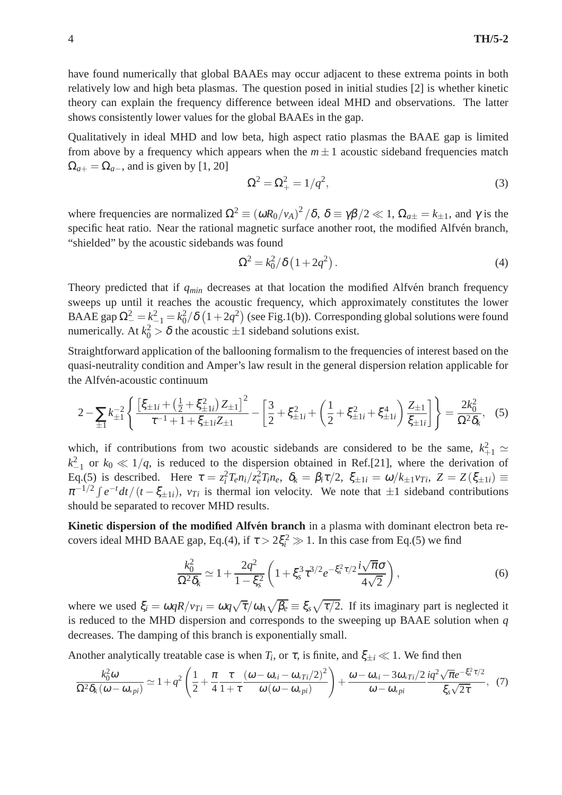have found numerically that global BAAEs may occur adjacent to these extrema points in both relatively low and high beta plasmas. The question posed in initial studies [2] is whether kinetic theory can explain the frequency difference between ideal MHD and observations. The latter shows consistently lower values for the global BAAEs in the gap.

Qualitatively in ideal MHD and low beta, high aspect ratio plasmas the BAAE gap is limited from above by a frequency which appears when the  $m \pm 1$  acoustic sideband frequencies match  $\Omega_{a+} = \Omega_{a-}$ , and is given by [1, 20]

$$
\Omega^2 = \Omega_+^2 = 1/q^2,\tag{3}
$$

where frequencies are normalized  $\Omega^2 \equiv (\omega R_0/v_A)^2/\delta$ ,  $\delta \equiv \gamma \beta/2 \ll 1$ ,  $\Omega_{a\pm} = k_{\pm 1}$ , and  $\gamma$  is the specific heat ratio. Near the rational magnetic surface another root, the modified Alfvén branch, "shielded" by the acoustic sidebands was found

$$
\Omega^2 = k_0^2 / \delta \left( 1 + 2q^2 \right). \tag{4}
$$

Theory predicted that if  $q_{min}$  decreases at that location the modified Alfvén branch frequency sweeps up until it reaches the acoustic frequency, which approximately constitutes the lower BAAE gap  $\Omega_{-}^2 = k_{-1}^2 = k_0^2/\delta \left(1 + 2q^2\right)$  (see Fig.1(b)). Corresponding global solutions were found numerically. At  $k_0^2 > \delta$  the acoustic  $\pm 1$  sideband solutions exist.

Straightforward application of the ballooning formalism to the frequencies of interest based on the quasi-neutrality condition and Amper's law result in the general dispersion relation applicable for the Alfvén-acoustic continuum

$$
2 - \sum_{\pm 1} k_{\pm 1}^{-2} \left\{ \frac{\left[\xi_{\pm 1i} + \left(\frac{1}{2} + \xi_{\pm 1i}^2\right) Z_{\pm 1}\right]^2}{\tau^{-1} + 1 + \xi_{\pm 1i} Z_{\pm 1}} - \left[\frac{3}{2} + \xi_{\pm 1i}^2 + \left(\frac{1}{2} + \xi_{\pm 1i}^2 + \xi_{\pm 1i}^4\right) \frac{Z_{\pm 1}}{\xi_{\pm 1i}}\right] \right\} = \frac{2k_0^2}{\Omega^2 \delta_k},
$$
(5)

which, if contributions from two acoustic sidebands are considered to be the same,  $k_{+1}^2 \simeq$  $k_{-1}^2$  or  $k_0 \ll 1/q$ , is reduced to the dispersion obtained in Ref.[21], where the derivation of Eq.(5) is described. Here  $\tau = z_i^2 T_e n_i / z_e^2 T_i n_e$ ,  $\delta_k = \beta_i \tau / 2$ ,  $\xi_{\pm 1i} = \omega / k_{\pm 1} \nu_{Ti}$ ,  $Z = Z(\xi_{\pm 1i}) \equiv$  $\pi^{-1/2} \int e^{-t} dt / (t - \xi_{\pm 1}t)$ ,  $v_{Ti}$  is thermal ion velocity. We note that  $\pm 1$  sideband contributions should be separated to recover MHD results.

**Kinetic dispersion of the modified Alfven branch** in a plasma with dominant electron beta recovers ideal MHD BAAE gap, Eq.(4), if  $\tau > 2\xi_i^2 \gg 1$ . In this case from Eq.(5) we find

$$
\frac{k_0^2}{\Omega^2 \delta_k} \simeq 1 + \frac{2q^2}{1 - \xi_s^2} \left( 1 + \xi_s^3 \tau^{3/2} e^{-\xi_s^2 \tau/2} \frac{i\sqrt{\pi}\sigma}{4\sqrt{2}} \right),\tag{6}
$$

where we used  $\xi_i = \omega q R/v_{Ti} = \omega q \sqrt{\tau}/\omega_A \sqrt{\beta_e} \equiv \xi_s \sqrt{\tau/2}$ . If its imaginary part is neglected it is reduced to the MHD dispersion and corresponds to the sweeping up BAAE solution when *q* decreases. The damping of this branch is exponentially small.

Another analytically treatable case is when  $T_i$ , or  $\tau$ , is finite, and  $\xi_{\pm i} \ll 1$ . We find then

$$
\frac{k_0^2 \omega}{\Omega^2 \delta_k (\omega - \omega_{*pi})} \simeq 1 + q^2 \left( \frac{1}{2} + \frac{\pi}{4} \frac{\tau}{1 + \tau} \frac{(\omega - \omega_{*i} - \omega_{*Ti}/2)^2}{\omega (\omega - \omega_{*pi})} \right) + \frac{\omega - \omega_{*i} - 3\omega_{*Ti}/2}{\omega - \omega_{*pi}} \frac{i q^2 \sqrt{\pi} e^{-\xi_s^2 \tau/2}}{\xi_s \sqrt{2\tau}}, \tag{7}
$$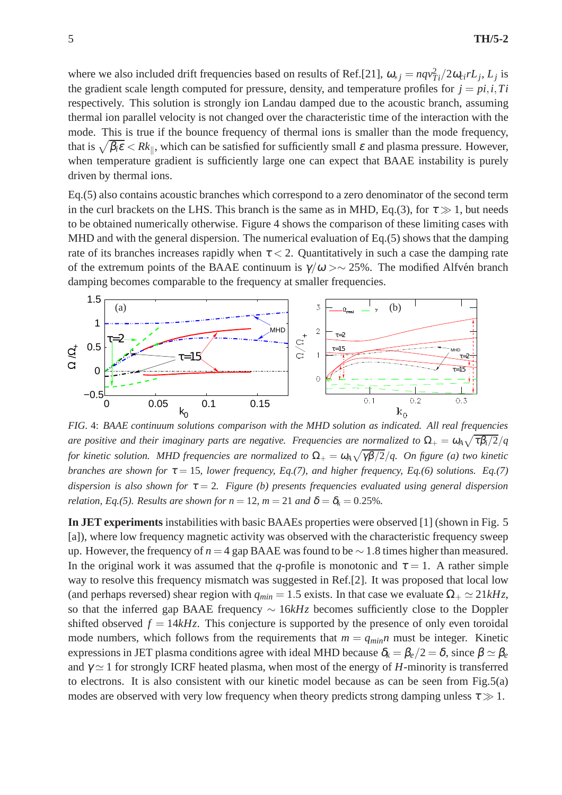where we also included drift frequencies based on results of Ref.[21],  $\omega_{*j} = nqv_{Ti}^2/2\omega_{ci}rL_j$ ,  $L_j$  is the gradient scale length computed for pressure, density, and temperature profiles for  $j = pi, i, Ti$ respectively. This solution is strongly ion Landau damped due to the acoustic branch, assuming thermal ion parallel velocity is not changed over the characteristic time of the interaction with the mode. This is true if the bounce frequency of thermal ions is smaller than the mode frequency, that is  $\sqrt{\beta_i \varepsilon}$  <  $Rk_{\parallel}$ , which can be satisfied for sufficiently small  $\varepsilon$  and plasma pressure. However, when temperature gradient is sufficiently large one can expect that BAAE instability is purely driven by thermal ions.

Eq.(5) also contains acoustic branches which correspond to a zero denominator of the second term in the curl brackets on the LHS. This branch is the same as in MHD, Eq.(3), for  $\tau \gg 1$ , but needs to be obtained numerically otherwise. Figure 4 shows the comparison of these limiting cases with MHD and with the general dispersion. The numerical evaluation of Eq.(5) shows that the damping rate of its branches increases rapidly when  $\tau < 2$ . Quantitatively in such a case the damping rate of the extremum points of the BAAE continuum is  $\gamma/\omega > \sim 25\%$ . The modified Alfvén branch damping becomes comparable to the frequency at smaller frequencies.



*FIG.* 4: *BAAE continuum solutions comparison with the MHD solution as indicated. All real frequencies are positive and their imaginary parts are negative. Frequencies are normalized to*  $\Omega_+ = \omega_A \sqrt{\tau \beta_i/2}/q$ *for kinetic solution. MHD frequencies are normalized to*  $\Omega_+ = \omega_A\sqrt{\gamma\beta/2}/q$ . On figure (a) two kinetic *branches are shown for*  $\tau = 15$ *, lower frequency, Eq.(7), and higher frequency, Eq.(6) solutions. Eq.(7) dispersion is also shown for*  $\tau = 2$ *. Figure (b) presents frequencies evaluated using general dispersion relation, Eq.(5). Results are shown for*  $n = 12$ *,*  $m = 21$  *and*  $\delta = \delta_k = 0.25\%$ *.* 

**In JET experiments** instabilities with basic BAAEs properties were observed [1] (shown in Fig. 5 [a]), where low frequency magnetic activity was observed with the characteristic frequency sweep up. However, the frequency of *n* = 4 gap BAAE was found to be ∼ 1.8 times higher than measured. In the original work it was assumed that the *q*-profile is monotonic and  $\tau = 1$ . A rather simple way to resolve this frequency mismatch was suggested in Ref.[2]. It was proposed that local low (and perhaps reversed) shear region with  $q_{min} = 1.5$  exists. In that case we evaluate  $\Omega_+ \simeq 21kHz$ , so that the inferred gap BAAE frequency ∼ 16*kHz* becomes sufficiently close to the Doppler shifted observed  $f = 14kHz$ . This conjecture is supported by the presence of only even toroidal mode numbers, which follows from the requirements that  $m = q_{min}n$  must be integer. Kinetic expressions in JET plasma conditions agree with ideal MHD because  $\delta_k = \beta_e/2 = \delta$ , since  $\beta \simeq \beta_e$ and  $\gamma \simeq 1$  for strongly ICRF heated plasma, when most of the energy of *H*-minority is transferred to electrons. It is also consistent with our kinetic model because as can be seen from Fig.5(a) modes are observed with very low frequency when theory predicts strong damping unless  $\tau \gg 1$ .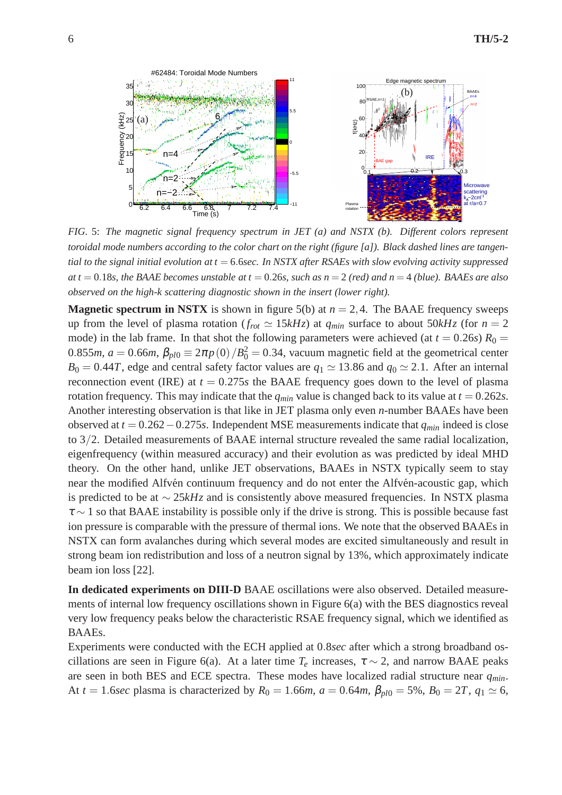

*FIG.* 5: *The magnetic signal frequency spectrum in JET (a) and NSTX (b). Different colors represent toroidal mode numbers according to the color chart on the right (figure [a]). Black dashed lines are tangential to the signal initial evolution at t* = 6.6*sec. In NSTX after RSAEs with slow evolving activity suppressed at t* = 0.18*s, the BAAE becomes unstable at t* = 0.26*s, such as n* = 2 *(red) and n* = 4 *(blue). BAAEs are also observed on the high-k scattering diagnostic shown in the insert (lower right).*

**Magnetic spectrum in NSTX** is shown in figure 5(b) at  $n = 2, 4$ . The BAAE frequency sweeps up from the level of plasma rotation ( $f_{rot} \simeq 15kHz$ ) at  $q_{min}$  surface to about 50kHz (for  $n = 2$ mode) in the lab frame. In that shot the following parameters were achieved (at  $t = 0.26s$ )  $R_0 =$ 0.855*m*,  $a = 0.66$ *m*,  $\beta_{pl0} \equiv 2\pi p(0)/B_0^2 = 0.34$ , vacuum magnetic field at the geometrical center  $B_0 = 0.44T$ , edge and central safety factor values are  $q_1 \approx 13.86$  and  $q_0 \approx 2.1$ . After an internal reconnection event (IRE) at  $t = 0.275s$  the BAAE frequency goes down to the level of plasma rotation frequency. This may indicate that the  $q_{min}$  value is changed back to its value at  $t = 0.262s$ . Another interesting observation is that like in JET plasma only even *n*-number BAAEs have been observed at *t* = 0.262−0.275*s*. Independent MSE measurements indicate that *qmin* indeed is close to 3/2. Detailed measurements of BAAE internal structure revealed the same radial localization, eigenfrequency (within measured accuracy) and their evolution as was predicted by ideal MHD theory. On the other hand, unlike JET observations, BAAEs in NSTX typically seem to stay near the modified Alfvén continuum frequency and do not enter the Alfvén-acoustic gap, which is predicted to be at ∼ 25*kHz* and is consistently above measured frequencies. In NSTX plasma  $\tau \sim 1$  so that BAAE instability is possible only if the drive is strong. This is possible because fast ion pressure is comparable with the pressure of thermal ions. We note that the observed BAAEs in NSTX can form avalanches during which several modes are excited simultaneously and result in strong beam ion redistribution and loss of a neutron signal by 13%, which approximately indicate beam ion loss [22].

**In dedicated experiments on DIII-D** BAAE oscillations were also observed. Detailed measurements of internal low frequency oscillations shown in Figure 6(a) with the BES diagnostics reveal very low frequency peaks below the characteristic RSAE frequency signal, which we identified as BAAEs.

Experiments were conducted with the ECH applied at 0.8*sec* after which a strong broadband oscillations are seen in Figure 6(a). At a later time  $T_e$  increases,  $\tau \sim 2$ , and narrow BAAE peaks are seen in both BES and ECE spectra. These modes have localized radial structure near *qmin*. At *t* = 1.6*sec* plasma is characterized by  $R_0 = 1.66m$ ,  $a = 0.64m$ ,  $\beta_{pl0} = 5\%$ ,  $B_0 = 2T$ ,  $q_1 \approx 6$ ,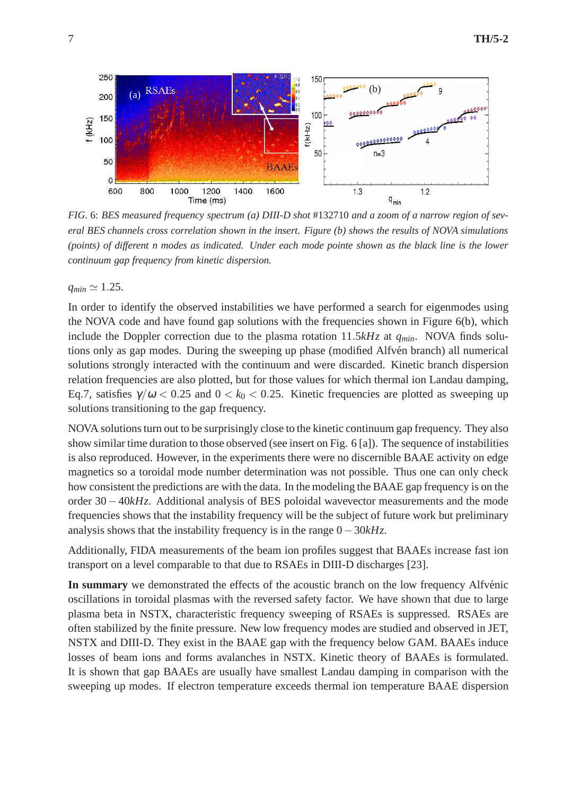

*FIG.* 6: *BES measured frequency spectrum (a) DIII-D shot* #132710 *and a zoom of a narrow region of several BES channels cross correlation shown in the insert. Figure (b) shows the results of NOVA simulations (points) of different n modes as indicated. Under each mode pointe shown as the black line is the lower continuum gap frequency from kinetic dispersion.*

 $q_{min} \simeq 1.25$ .

In order to identify the observed instabilities we have performed a search for eigenmodes using the NOVA code and have found gap solutions with the frequencies shown in Figure 6(b), which include the Doppler correction due to the plasma rotation 11.5*kHz* at *qmin*. NOVA finds solutions only as gap modes. During the sweeping up phase (modified Alfvén branch) all numerical solutions strongly interacted with the continuum and were discarded. Kinetic branch dispersion relation frequencies are also plotted, but for those values for which thermal ion Landau damping, Eq.7, satisfies  $\gamma/\omega$  < 0.25 and 0 <  $k_0$  < 0.25. Kinetic frequencies are plotted as sweeping up solutions transitioning to the gap frequency.

NOVA solutions turn out to be surprisingly close to the kinetic continuum gap frequency. They also show similar time duration to those observed (see insert on Fig. 6 [a]). The sequence of instabilities is also reproduced. However, in the experiments there were no discernible BAAE activity on edge magnetics so a toroidal mode number determination was not possible. Thus one can only check how consistent the predictions are with the data. In the modeling the BAAE gap frequency is on the order 30−40*kHz*. Additional analysis of BES poloidal wavevector measurements and the mode frequencies shows that the instability frequency will be the subject of future work but preliminary analysis shows that the instability frequency is in the range 0−30*kHz*.

Additionally, FIDA measurements of the beam ion profiles suggest that BAAEs increase fast ion transport on a level comparable to that due to RSAEs in DIII-D discharges [23].

**In summary** we demonstrated the effects of the acoustic branch on the low frequency Alfvénic oscillations in toroidal plasmas with the reversed safety factor. We have shown that due to large plasma beta in NSTX, characteristic frequency sweeping of RSAEs is suppressed. RSAEs are often stabilized by the finite pressure. New low frequency modes are studied and observed in JET, NSTX and DIII-D. They exist in the BAAE gap with the frequency below GAM. BAAEs induce losses of beam ions and forms avalanches in NSTX. Kinetic theory of BAAEs is formulated. It is shown that gap BAAEs are usually have smallest Landau damping in comparison with the sweeping up modes. If electron temperature exceeds thermal ion temperature BAAE dispersion